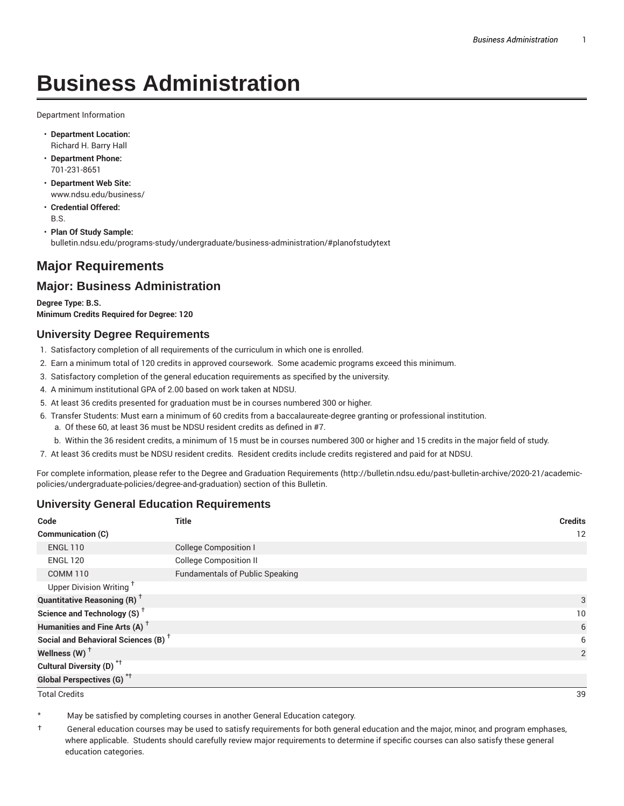# **Business Administration**

Department Information

- **Department Location:** Richard H. Barry Hall
- **Department Phone:** 701-231-8651
- **Department Web Site:** www.ndsu.edu/business/
- **Credential Offered:** B.S.

• **Plan Of Study Sample:** bulletin.ndsu.edu/programs-study/undergraduate/business-administration/#planofstudytext

# **Major Requirements**

## **Major: Business Administration**

**Degree Type: B.S. Minimum Credits Required for Degree: 120**

#### **University Degree Requirements**

- 1. Satisfactory completion of all requirements of the curriculum in which one is enrolled.
- 2. Earn a minimum total of 120 credits in approved coursework. Some academic programs exceed this minimum.
- 3. Satisfactory completion of the general education requirements as specified by the university.
- 4. A minimum institutional GPA of 2.00 based on work taken at NDSU.
- 5. At least 36 credits presented for graduation must be in courses numbered 300 or higher.
- 6. Transfer Students: Must earn a minimum of 60 credits from a baccalaureate-degree granting or professional institution.
	- a. Of these 60, at least 36 must be NDSU resident credits as defined in #7.
	- b. Within the 36 resident credits, a minimum of 15 must be in courses numbered 300 or higher and 15 credits in the major field of study.
- 7. At least 36 credits must be NDSU resident credits. Resident credits include credits registered and paid for at NDSU.

For complete information, please refer to the Degree and Graduation Requirements (http://bulletin.ndsu.edu/past-bulletin-archive/2020-21/academicpolicies/undergraduate-policies/degree-and-graduation) section of this Bulletin.

### **University General Education Requirements**

| Code                                            | <b>Title</b>                           | <b>Credits</b>  |
|-------------------------------------------------|----------------------------------------|-----------------|
| <b>Communication (C)</b>                        |                                        | 12              |
| <b>ENGL 110</b>                                 | <b>College Composition I</b>           |                 |
| <b>ENGL 120</b>                                 | <b>College Composition II</b>          |                 |
| <b>COMM 110</b>                                 | <b>Fundamentals of Public Speaking</b> |                 |
| Upper Division Writing <sup>+</sup>             |                                        |                 |
| <b>Quantitative Reasoning (R)</b> <sup>†</sup>  |                                        | 3               |
| Science and Technology (S) <sup>+</sup>         |                                        | 10 <sup>°</sup> |
| Humanities and Fine Arts (A) <sup>+</sup>       |                                        | 6               |
| Social and Behavioral Sciences (B) <sup>+</sup> |                                        | 6               |
| Wellness $(W)$ <sup>+</sup>                     |                                        | 2               |
| Cultural Diversity (D) <sup>*†</sup>            |                                        |                 |
| <b>Global Perspectives (G)<sup>*†</sup></b>     |                                        |                 |

Total Credits 39

May be satisfied by completing courses in another General Education category.

† General education courses may be used to satisfy requirements for both general education and the major, minor, and program emphases, where applicable. Students should carefully review major requirements to determine if specific courses can also satisfy these general education categories.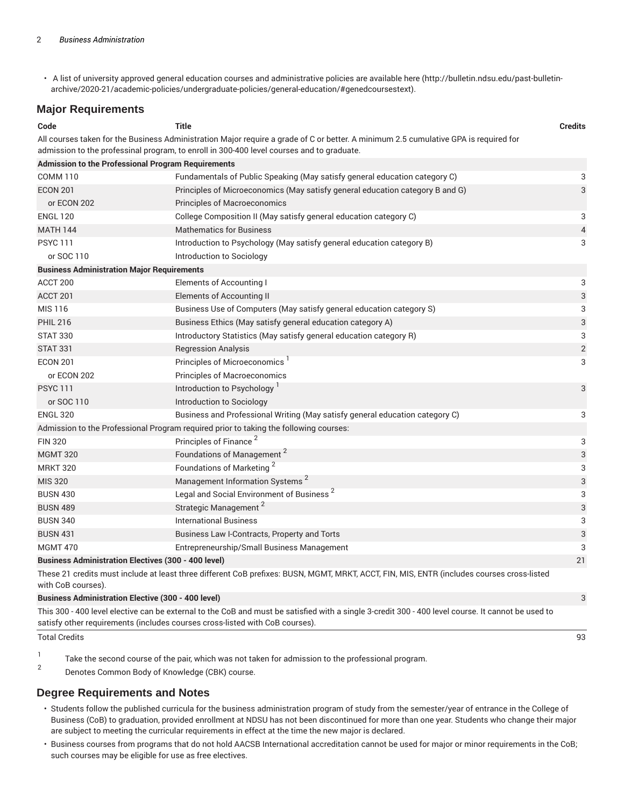• A list of university approved general education courses and administrative policies are available here (http://bulletin.ndsu.edu/past-bulletinarchive/2020-21/academic-policies/undergraduate-policies/general-education/#genedcoursestext).

#### **Major Requirements**

| Code                                                       | <b>Title</b>                                                                                                                                                                                                                      | <b>Credits</b>            |
|------------------------------------------------------------|-----------------------------------------------------------------------------------------------------------------------------------------------------------------------------------------------------------------------------------|---------------------------|
|                                                            | All courses taken for the Business Administration Major require a grade of C or better. A minimum 2.5 cumulative GPA is required for<br>admission to the professinal program, to enroll in 300-400 level courses and to graduate. |                           |
| <b>Admission to the Professional Program Requirements</b>  |                                                                                                                                                                                                                                   |                           |
| <b>COMM 110</b>                                            | Fundamentals of Public Speaking (May satisfy general education category C)                                                                                                                                                        | 3                         |
| <b>ECON 201</b>                                            | Principles of Microeconomics (May satisfy general education category B and G)                                                                                                                                                     | 3                         |
| or ECON 202                                                | <b>Principles of Macroeconomics</b>                                                                                                                                                                                               |                           |
| <b>ENGL 120</b>                                            | College Composition II (May satisfy general education category C)                                                                                                                                                                 | 3                         |
| <b>MATH 144</b>                                            | <b>Mathematics for Business</b>                                                                                                                                                                                                   | $\overline{4}$            |
| <b>PSYC 111</b>                                            | Introduction to Psychology (May satisfy general education category B)                                                                                                                                                             | 3                         |
| or SOC 110                                                 | Introduction to Sociology                                                                                                                                                                                                         |                           |
| <b>Business Administration Major Requirements</b>          |                                                                                                                                                                                                                                   |                           |
| ACCT <sub>200</sub>                                        | Elements of Accounting I                                                                                                                                                                                                          | 3                         |
| ACCT 201                                                   | <b>Elements of Accounting II</b>                                                                                                                                                                                                  | 3                         |
| MIS 116                                                    | Business Use of Computers (May satisfy general education category S)                                                                                                                                                              | 3                         |
| <b>PHIL 216</b>                                            | Business Ethics (May satisfy general education category A)                                                                                                                                                                        | $\ensuremath{\mathsf{3}}$ |
| <b>STAT 330</b>                                            | Introductory Statistics (May satisfy general education category R)                                                                                                                                                                | 3                         |
| <b>STAT 331</b>                                            | <b>Regression Analysis</b>                                                                                                                                                                                                        | $\sqrt{2}$                |
| <b>ECON 201</b>                                            | Principles of Microeconomics <sup>1</sup>                                                                                                                                                                                         | 3                         |
| or ECON 202                                                | Principles of Macroeconomics                                                                                                                                                                                                      |                           |
| <b>PSYC111</b>                                             | Introduction to Psychology <sup>1</sup>                                                                                                                                                                                           | 3                         |
| or SOC 110                                                 | Introduction to Sociology                                                                                                                                                                                                         |                           |
| <b>ENGL 320</b>                                            | Business and Professional Writing (May satisfy general education category C)                                                                                                                                                      | 3                         |
|                                                            | Admission to the Professional Program required prior to taking the following courses:                                                                                                                                             |                           |
| <b>FIN 320</b>                                             | Principles of Finance <sup>2</sup>                                                                                                                                                                                                | 3                         |
| <b>MGMT 320</b>                                            | Foundations of Management <sup>2</sup>                                                                                                                                                                                            | 3                         |
| <b>MRKT 320</b>                                            | Foundations of Marketing <sup>2</sup>                                                                                                                                                                                             | 3                         |
| <b>MIS 320</b>                                             | Management Information Systems <sup>2</sup>                                                                                                                                                                                       | 3                         |
| <b>BUSN 430</b>                                            | Legal and Social Environment of Business <sup>2</sup>                                                                                                                                                                             | 3                         |
| <b>BUSN 489</b>                                            | Strategic Management <sup>2</sup>                                                                                                                                                                                                 | 3                         |
| <b>BUSN 340</b>                                            | <b>International Business</b>                                                                                                                                                                                                     | 3                         |
| <b>BUSN 431</b>                                            | Business Law I-Contracts, Property and Torts                                                                                                                                                                                      | 3                         |
| <b>MGMT 470</b>                                            | Entrepreneurship/Small Business Management                                                                                                                                                                                        | 3                         |
| <b>Business Administration Electives (300 - 400 level)</b> |                                                                                                                                                                                                                                   | 21                        |

These 21 credits must include at least three different CoB prefixes: BUSN, MGMT, MRKT, ACCT, FIN, MIS, ENTR (includes courses cross-listed with CoB courses).

#### **Business Administration Elective (300 - 400 level)** 3

This 300 - 400 level elective can be external to the CoB and must be satisfied with a single 3-credit 300 - 400 level course. It cannot be used to satisfy other requirements (includes courses cross-listed with CoB courses).

Total Credits 93

- 1 Take the second course of the pair, which was not taken for admission to the professional program.
- 2 Denotes Common Body of Knowledge (CBK) course.

### **Degree Requirements and Notes**

- Students follow the published curricula for the business administration program of study from the semester/year of entrance in the College of Business (CoB) to graduation, provided enrollment at NDSU has not been discontinued for more than one year. Students who change their major are subject to meeting the curricular requirements in effect at the time the new major is declared.
- Business courses from programs that do not hold AACSB International accreditation cannot be used for major or minor requirements in the CoB; such courses may be eligible for use as free electives.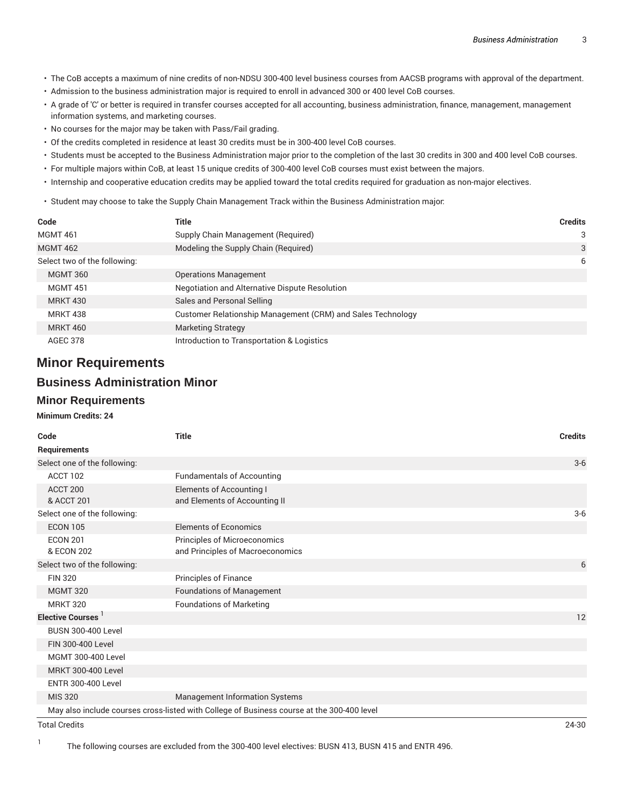- The CoB accepts a maximum of nine credits of non-NDSU 300-400 level business courses from AACSB programs with approval of the department.
- Admission to the business administration major is required to enroll in advanced 300 or 400 level CoB courses.
- A grade of 'C' or better is required in transfer courses accepted for all accounting, business administration, finance, management, management information systems, and marketing courses.
- No courses for the major may be taken with Pass/Fail grading.
- Of the credits completed in residence at least 30 credits must be in 300-400 level CoB courses.
- Students must be accepted to the Business Administration major prior to the completion of the last 30 credits in 300 and 400 level CoB courses.
- For multiple majors within CoB, at least 15 unique credits of 300-400 level CoB courses must exist between the majors.
- Internship and cooperative education credits may be applied toward the total credits required for graduation as non-major electives.
- Student may choose to take the Supply Chain Management Track within the Business Administration major:

| Code                         | Title                                                       | <b>Credits</b> |
|------------------------------|-------------------------------------------------------------|----------------|
| <b>MGMT 461</b>              | Supply Chain Management (Required)                          | 3              |
| <b>MGMT 462</b>              | Modeling the Supply Chain (Required)                        | 3              |
| Select two of the following: |                                                             | 6              |
| <b>MGMT 360</b>              | <b>Operations Management</b>                                |                |
| <b>MGMT 451</b>              | Negotiation and Alternative Dispute Resolution              |                |
| <b>MRKT 430</b>              | Sales and Personal Selling                                  |                |
| <b>MRKT 438</b>              | Customer Relationship Management (CRM) and Sales Technology |                |
| <b>MRKT 460</b>              | Marketing Strategy                                          |                |
| <b>AGEC 378</b>              | Introduction to Transportation & Logistics                  |                |

# **Minor Requirements**

## **Business Administration Minor**

#### **Minor Requirements**

#### **Minimum Credits: 24**

| Code                          | <b>Title</b>                                                                               | <b>Credits</b> |
|-------------------------------|--------------------------------------------------------------------------------------------|----------------|
| Requirements                  |                                                                                            |                |
| Select one of the following:  |                                                                                            | $3-6$          |
| ACCT 102                      | <b>Fundamentals of Accounting</b>                                                          |                |
| ACCT 200<br>& ACCT 201        | Elements of Accounting I<br>and Elements of Accounting II                                  |                |
| Select one of the following:  |                                                                                            | $3-6$          |
| <b>ECON 105</b>               | <b>Elements of Economics</b>                                                               |                |
| <b>ECON 201</b><br>& ECON 202 | Principles of Microeconomics<br>and Principles of Macroeconomics                           |                |
| Select two of the following:  |                                                                                            | 6              |
| <b>FIN 320</b>                | Principles of Finance                                                                      |                |
| <b>MGMT 320</b>               | <b>Foundations of Management</b>                                                           |                |
| <b>MRKT 320</b>               | <b>Foundations of Marketing</b>                                                            |                |
| Elective Courses              |                                                                                            | 12             |
| <b>BUSN 300-400 Level</b>     |                                                                                            |                |
| FIN 300-400 Level             |                                                                                            |                |
| <b>MGMT 300-400 Level</b>     |                                                                                            |                |
| <b>MRKT 300-400 Level</b>     |                                                                                            |                |
| <b>ENTR 300-400 Level</b>     |                                                                                            |                |
| <b>MIS 320</b>                | <b>Management Information Systems</b>                                                      |                |
|                               | May also include courses cross-listed with College of Business course at the 300-400 level |                |

Total Credits 24-30

1

The following courses are excluded from the 300-400 level electives: BUSN 413, BUSN 415 and ENTR 496.